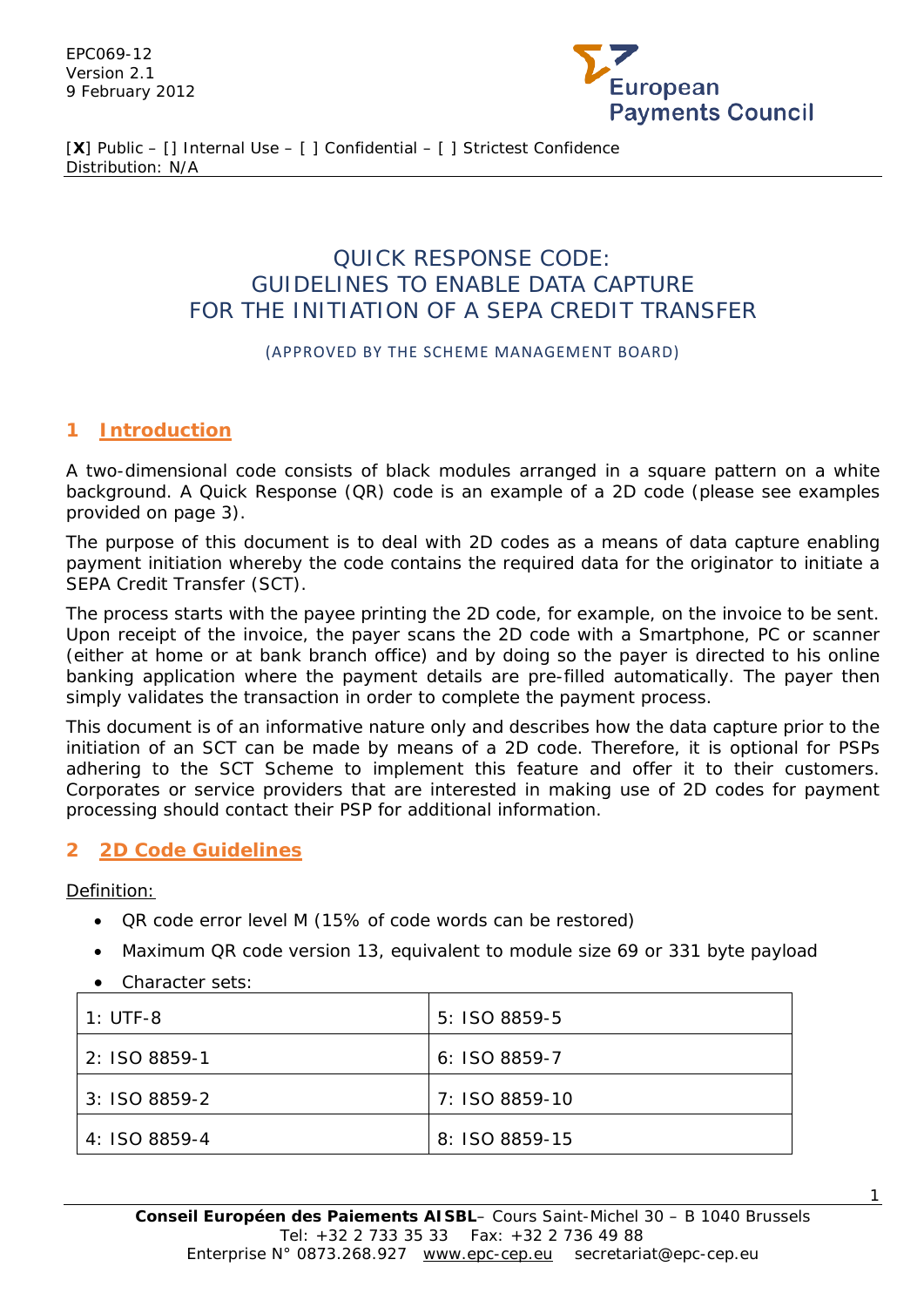EPC069-12 Version 2.1 9 February 2012



[**X**] Public – [] Internal Use – [ ] Confidential – [ ] Strictest Confidence Distribution: N/A

## QUICK RESPONSE CODE: GUIDELINES TO ENABLE DATA CAPTURE FOR THE INITIATION OF A SEPA CREDIT TRANSFER

#### (APPROVED BY THE SCHEME MANAGEMENT BOARD)

#### **1 Introduction**

A two-dimensional code consists of black modules arranged in a square pattern on a white background. A Quick Response (QR) code is an example of a 2D code (please see examples provided on page 3).

The purpose of this document is to deal with 2D codes as a means of data capture enabling payment initiation whereby the code contains the required data for the originator to initiate a SEPA Credit Transfer (SCT).

The process starts with the payee printing the 2D code, for example, on the invoice to be sent. Upon receipt of the invoice, the payer scans the 2D code with a Smartphone, PC or scanner (either at home or at bank branch office) and by doing so the payer is directed to his online banking application where the payment details are pre-filled automatically. The payer then simply validates the transaction in order to complete the payment process.

This document is of an informative nature only and describes how the data capture prior to the initiation of an SCT can be made by means of a 2D code. Therefore, it is optional for PSPs adhering to the SCT Scheme to implement this feature and offer it to their customers. Corporates or service providers that are interested in making use of 2D codes for payment processing should contact their PSP for additional information.

#### **2 2D Code Guidelines**

Definition:

- QR code error level M (15% of code words can be restored)
- Maximum QR code version 13, equivalent to module size 69 or 331 byte payload
- Character sets:

| 1: UTF-8      | $5:$ ISO 8859-5 |
|---------------|-----------------|
| 2: ISO 8859-1 | $6: ISO 8859-7$ |
| 3: ISO 8859-2 | 7: ISO 8859-10  |
| 4: ISO 8859-4 | 8: ISO 8859-15  |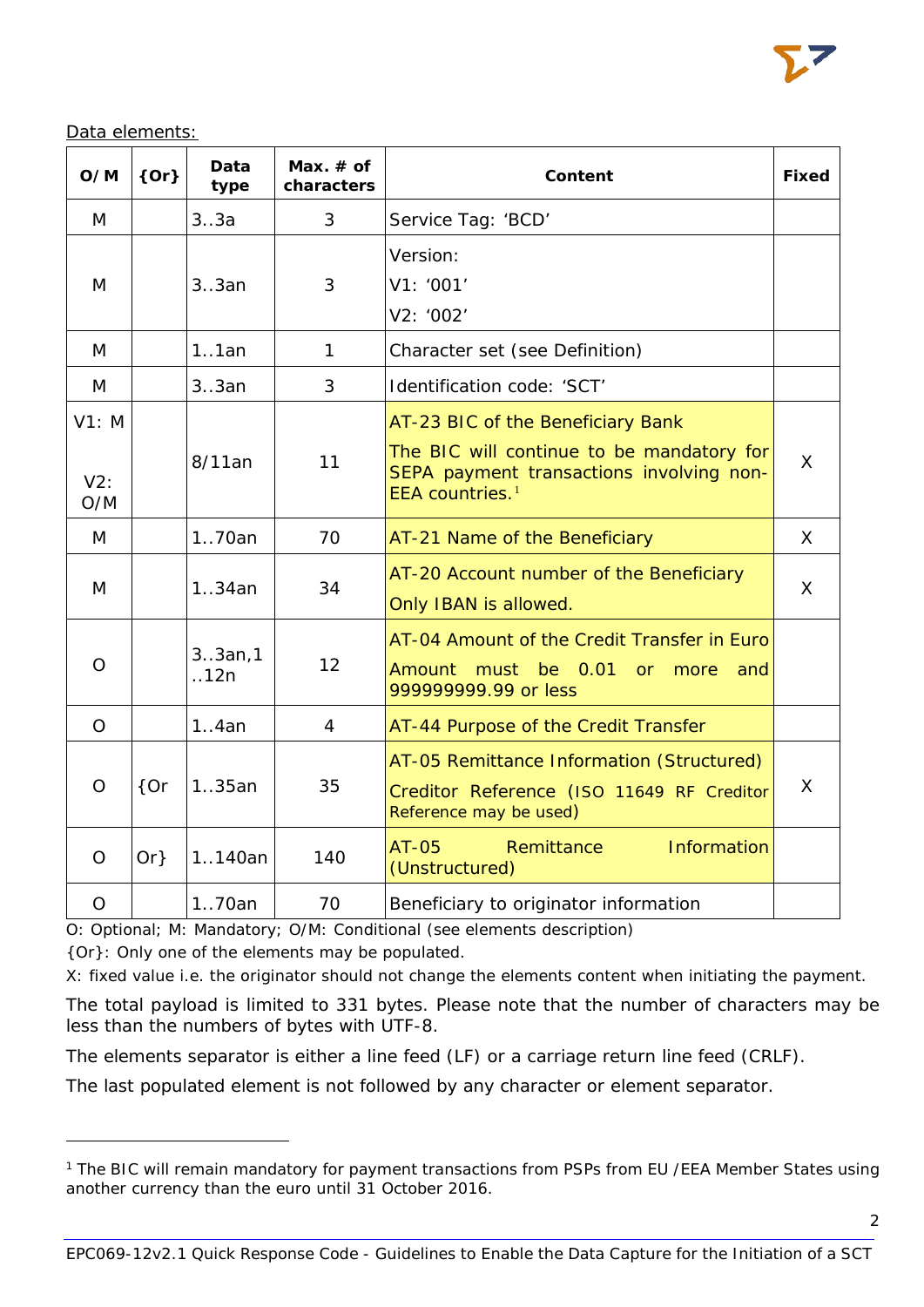

Data elements:

| O/M                 | ${Or}$ | Data<br>type    | Max. $#$ of<br>characters | Content                                                                                                                                                   | <b>Fixed</b> |
|---------------------|--------|-----------------|---------------------------|-----------------------------------------------------------------------------------------------------------------------------------------------------------|--------------|
| M                   |        | 3.3a            | 3                         | Service Tag: 'BCD'                                                                                                                                        |              |
| M                   |        | 3.3an           | 3                         | Version:<br>V1: '001'<br>V2: '002'                                                                                                                        |              |
| M                   |        | 1.1an           | $\mathbf{1}$              | Character set (see Definition)                                                                                                                            |              |
| M                   |        | 3.3an           | 3                         | Identification code: 'SCT'                                                                                                                                |              |
| V1: M<br>V2:<br>O/M |        | 8/11an          | 11                        | AT-23 BIC of the Beneficiary Bank<br>The BIC will continue to be mandatory for<br>SEPA payment transactions involving non-<br>EEA countries. <sup>1</sup> | $\mathsf{X}$ |
| M                   |        | 170an           | 70                        | AT-21 Name of the Beneficiary                                                                                                                             | $\mathsf{X}$ |
| M                   |        | 1.34an          | 34                        | AT-20 Account number of the Beneficiary<br>Only IBAN is allowed.                                                                                          | $\mathsf{X}$ |
| $\overline{O}$      |        | 3.3an,1<br>.12n | 12                        | AT-04 Amount of the Credit Transfer in Euro<br>Amount must<br>be 0.01<br><b>or</b><br>more<br>and<br>999999999.99 or less                                 |              |
| $\circ$             |        | 1.4an           | 4                         | AT-44 Purpose of the Credit Transfer                                                                                                                      |              |
| $\overline{O}$      | ${or}$ | 135an           | 35                        | AT-05 Remittance Information (Structured)<br>Creditor Reference (ISO 11649 RF Creditor<br>Reference may be used)                                          | $\mathsf{X}$ |
| $\overline{O}$      | $Or\}$ | 1140an          | 140                       | Information<br>AT-05<br>Remittance<br>(Unstructured)                                                                                                      |              |
| $\overline{O}$      |        | 170an           | 70                        | Beneficiary to originator information                                                                                                                     |              |

O: Optional; M: Mandatory; O/M: Conditional (see elements description)

{Or}: Only one of the elements may be populated.

l

X: fixed value i.e. the originator should not change the elements content when initiating the payment.

The total payload is limited to 331 bytes. Please note that the number of characters may be less than the numbers of bytes with UTF-8.

The elements separator is either a line feed (LF) or a carriage return line feed (CRLF).

The last populated element is not followed by any character or element separator.

<span id="page-1-0"></span><sup>&</sup>lt;sup>1</sup> The BIC will remain mandatory for payment transactions from PSPs from EU / EEA Member States using another currency than the euro until 31 October 2016.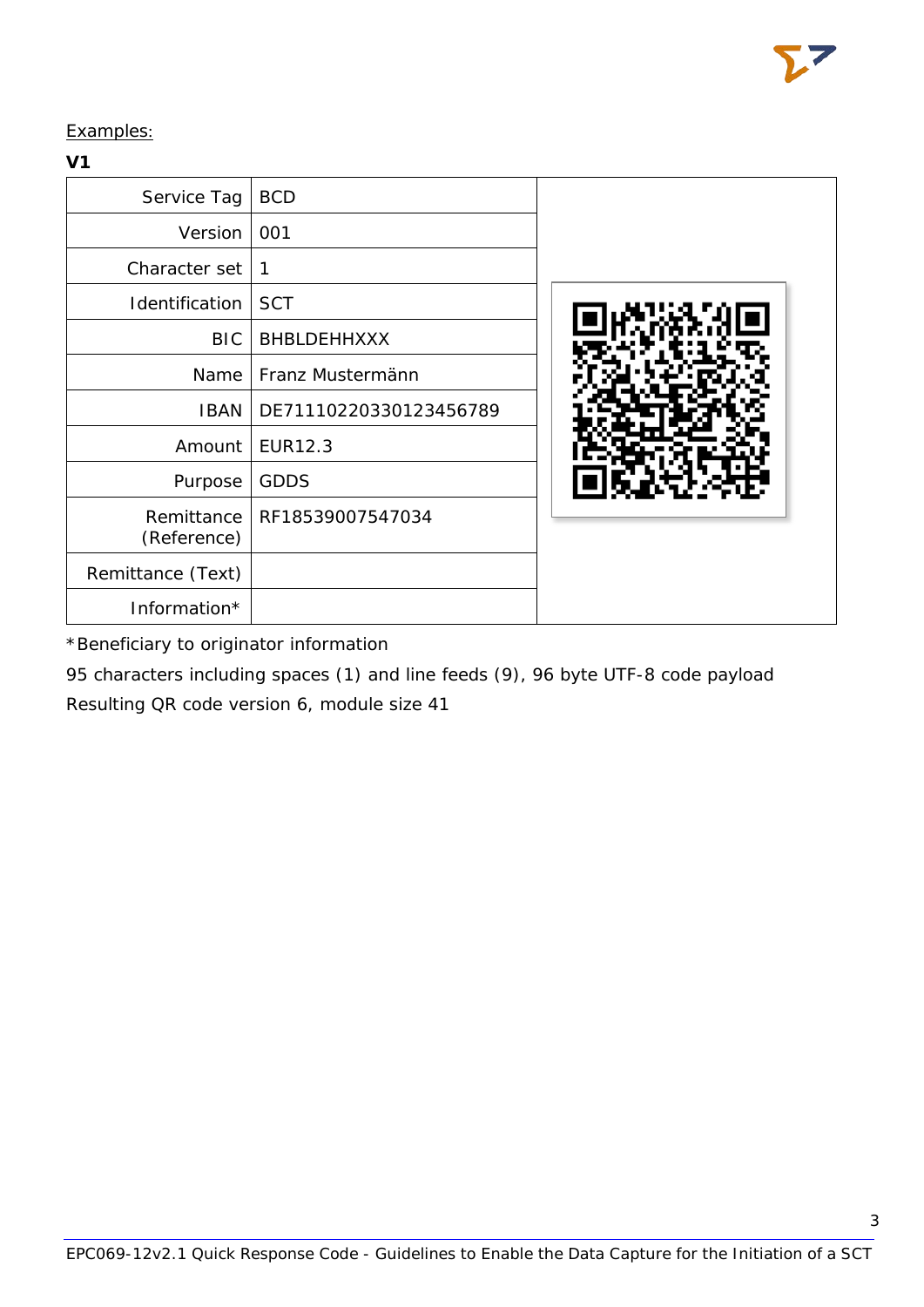Examples:

### **V1**

| Service Tag               | <b>BCD</b>             |  |
|---------------------------|------------------------|--|
| <b>Version</b>            | 001                    |  |
| Character set             | 1                      |  |
| Identification            | <b>SCT</b>             |  |
| BIC.                      | BHBLDEHHXXX            |  |
| Name                      | Franz Mustermänn       |  |
| <b>IBAN</b>               | DE71110220330123456789 |  |
| Amount                    | EUR12.3                |  |
| Purpose                   | <b>GDDS</b>            |  |
| Remittance<br>(Reference) | RF18539007547034       |  |
| Remittance (Text)         |                        |  |
| Information*              |                        |  |

\*Beneficiary to originator information

95 characters including spaces (1) and line feeds (9), 96 byte UTF-8 code payload Resulting QR code version 6, module size 41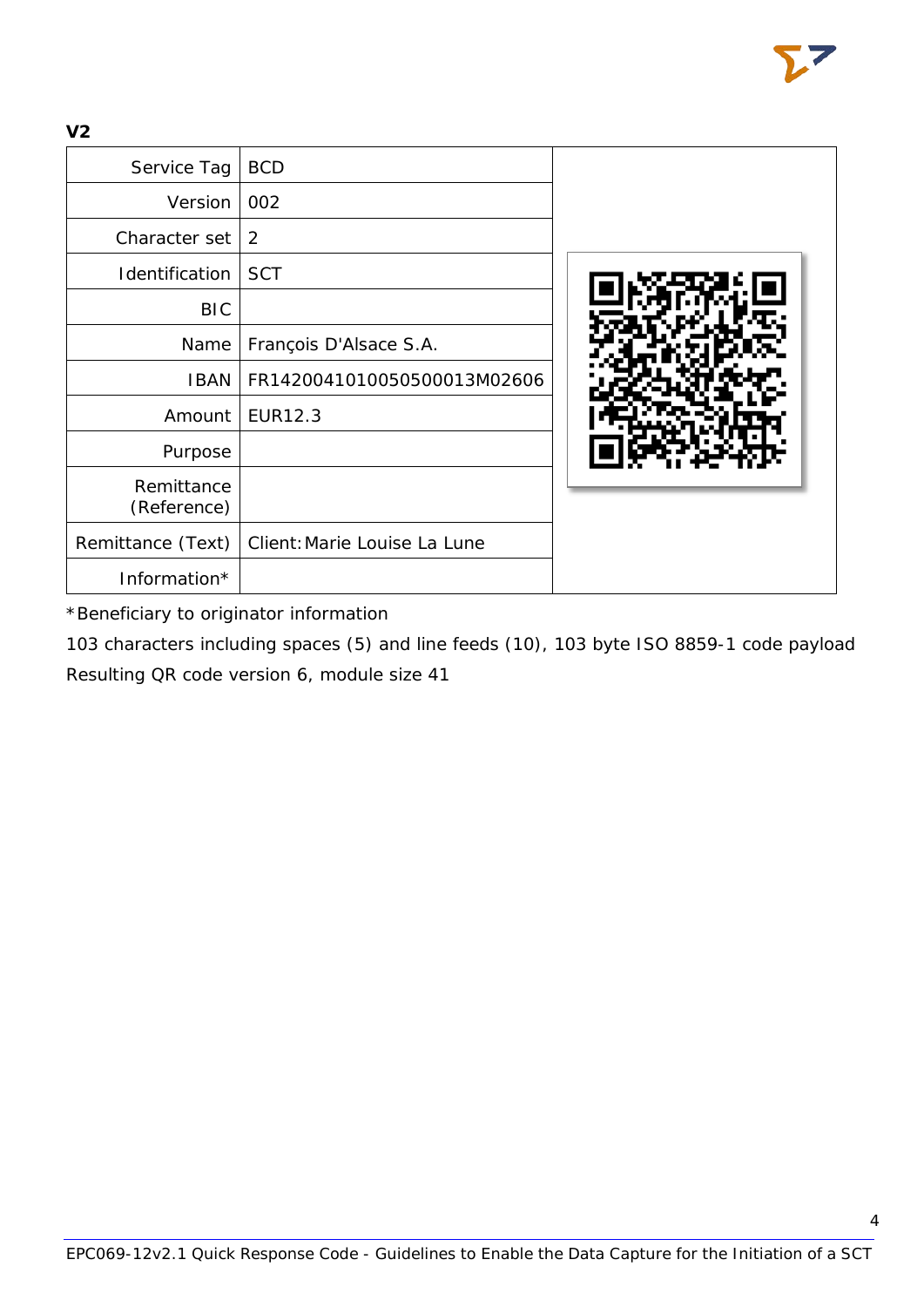**V2**

| Service Tag               | <b>BCD</b>                   |  |
|---------------------------|------------------------------|--|
| Version                   | 002                          |  |
| Character set             | 2                            |  |
| Identification            | <b>SCT</b>                   |  |
| <b>BIC</b>                |                              |  |
| Name                      | François D'Alsace S.A.       |  |
| <b>IBAN</b>               | FR1420041010050500013M02606  |  |
| Amount                    | EUR12.3                      |  |
| Purpose                   |                              |  |
| Remittance<br>(Reference) |                              |  |
| Remittance (Text)         | Client: Marie Louise La Lune |  |
| Information*              |                              |  |

\*Beneficiary to originator information

103 characters including spaces (5) and line feeds (10), 103 byte ISO 8859-1 code payload Resulting QR code version 6, module size 41